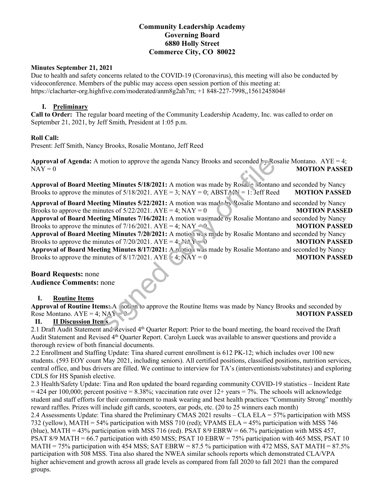# **Community Leadership Academy Governing Board 6880 Holly Street Commerce City, CO 80022**

### **Minutes September 21, 2021**

Due to health and safety concerns related to the COVID-19 (Coronavirus), this meeting will also be conducted by videoconference. Members of the public may access open session portion of this meeting at: https://clacharter-org.highfive.com/moderated/anm8g2ah7m; +1 848-227-7998,,1561245804#

## **I. Preliminary**

**Call to Order:** The regular board meeting of the Community Leadership Academy, Inc. was called to order on September 21, 2021, by Jeff Smith, President at 1:05 p.m.

### **Roll Call:**

Present: Jeff Smith, Nancy Brooks, Rosalie Montano, Jeff Reed

**Approval of Agenda:** A motion to approve the agenda Nancy Brooks and seconded  $f<sub>T</sub>$  Rosalie Montano. AYE = 4; NAY = 0 **MOTION PASSED** 

**Approval of Board Meeting Minutes 5/18/2021:** A motion was made by Rosalie Montano and seconded by Nancy Brooks to approve the minutes of  $5/18/2021$ .  $AYE = 3$ ;  $NAY = 0$ ;  $ABSTA \rightarrow T = 1$ : Jeff Reed **MOTION PASSED** 

**Approval of Board Meeting Minutes 5/22/2021:** A motion was made by Rosalie Montano and seconded by Nancy Brooks to approve the minutes of  $5/22/2021$ .  $AYE = 4$ ;  $NAY = 0$  **MOTION PASSED Approval of Board Meeting Minutes 7/16/2021:** A motion was made by Rosalie Montano and seconded by Nancy Brooks to approve the minutes of 7/16/2021. AYE = 4; NAY = 0 **MOTION PASSED Approval of Board Meeting Minutes 7/20/2021:** A motion was made by Rosalie Montano and seconded by Nancy Brooks to approve the minutes of  $7/20/2021$ . AYE =  $4: N_X > 0$  **MOTION PASSED Approval of Board Meeting Minutes 8/17/2021:** A motion was made by Rosalie Montano and seconded by Nancy Brooks to approve the minutes of 8/17/2021. AYE = 4; NAY = 0 **MOTION PASSED** motion to approve the agenda Nancy Brooks and seconded  $\frac{1}{2}$ , Ro<br>
ing Minutes 5/18/2021: A motion was made by Rosa. e Montan<br>
untes of 5/18/2021. AYE = 3; NAY = 0; ABSTA:  $\frac{1}{2}$  = 1: Jeff Ree<br>
ing Minutes 5/22/2021

**Board Requests:** none **Audience Comments:** none

## **I. Routine Items**

Approval of Routine Items: A motion to approve the Routine Items was made by Nancy Brooks and seconded by Rose Montano. AYE = 4; NAY = 0 **MOTION PASSED** 

## **II. II Discussion Items**

2.1 Draft Audit Statement and Revised 4<sup>th</sup> Quarter Report: Prior to the board meeting, the board received the Draft Audit Statement and Revised 4th Quarter Report. Carolyn Lueck was available to answer questions and provide a thorough review of both financial documents.

2.2 Enrollment and Staffing Update: Tina shared current enrollment is 612 PK-12; which includes over 100 new students. (593 EOY count May 2021, including seniors). All certified positions, classified positions, nutrition services, central office, and bus drivers are filled. We continue to interview for TA's (interventionists/substitutes) and exploring CDLS for HS Spanish elective.

2.3 Health/Safety Update: Tina and Ron updated the board regarding community COVID-19 statistics – Incident Rate  $= 424$  per 100,000; percent positive  $= 8.38\%$ ; vaccination rate over 12+ years  $= 7\%$ . The schools will acknowledge student and staff efforts for their commitment to mask wearing and best health practices "Community Strong" monthly reward raffles. Prizes will include gift cards, scooters, ear pods, etc. (20 to 25 winners each month)

2.4 Assessments Update: Tina shared the Preliminary CMAS 2021 results – CLA ELA = 57% participation with MSS 732 (yellow), MATH = 54% participation with MSS 710 (red); VPAMS ELA = 45% participation with MSS 746 (blue), MATH = 43% participation with MSS 716 (red). PSAT 8/9 EBRW = 66.7% participation with MSS 457, PSAT 8/9 MATH = 66.7 participation with 450 MSS; PSAT 10 EBRW = 75% participation with 465 MSS, PSAT 10 MATH = 75% participation with 454 MSS; SAT EBRW = 87.5 % participation with 472 MSS, SAT MATH = 87.5% participation with 508 MSS. Tina also shared the NWEA similar schools reports which demonstrated CLA/VPA higher achievement and growth across all grade levels as compared from fall 2020 to fall 2021 than the compared groups.